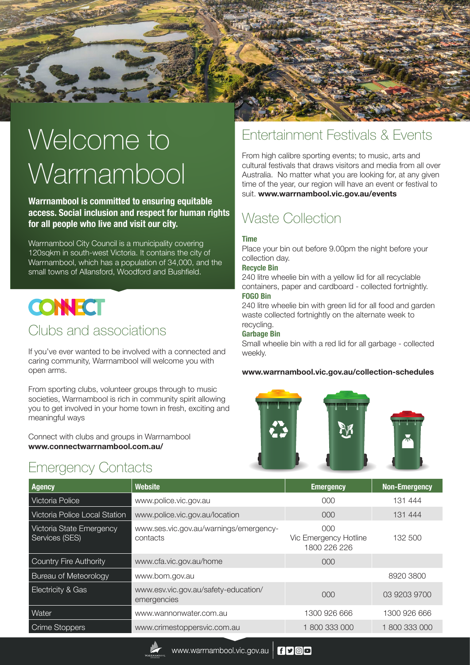

**Warrnambool is committed to ensuring equitable access. Social inclusion and respect for human rights for all people who live and visit our city.** 

Warrnambool City Council is a municipality covering 120sqkm in south-west Victoria. It contains the city of Warrnambool, which has a population of 34,000, and the small towns of Allansford, Woodford and Bushfield.

# **CONECT**

### Clubs and associations

If you've ever wanted to be involved with a connected and caring community, Warrnambool will welcome you with open arms.

From sporting clubs, volunteer groups through to music societies, Warrnambool is rich in community spirit allowing you to get involved in your home town in fresh, exciting and meaningful ways

Connect with clubs and groups in Warrnambool **www.connectwarrnambool.com.au/**

### Emergency Contacts

### Entertainment Festivals & Events

From high calibre sporting events; to music, arts and cultural festivals that draws visitors and media from all over Australia. No matter what you are looking for, at any given time of the year, our region will have an event or festival to suit. **www.warrnambool.vic.gov.au/events**

## Waste Collection

### **Time**

Place your bin out before 9.00pm the night before your collection day.

#### **Recycle Bin**

240 litre wheelie bin with a yellow lid for all recyclable containers, paper and cardboard - collected fortnightly. **FOGO Bin**

240 litre wheelie bin with green lid for all food and garden waste collected fortnightly on the alternate week to recycling.

### **Garbage Bin**

Small wheelie bin with a red lid for all garbage - collected weekly.

### **www.warrnambool.vic.gov.au/collection-schedules**



| <b>Agency</b>                              | <b>Website</b>                                      | <b>Emergency</b>                             | <b>Non-Emergency</b> |
|--------------------------------------------|-----------------------------------------------------|----------------------------------------------|----------------------|
| Victoria Police                            | www.police.vic.gov.au                               | 000                                          | 131 444              |
| <b>Victoria Police Local Station</b>       | www.police.vic.gov.au/location                      | 000                                          | 131 444              |
| Victoria State Emergency<br>Services (SES) | www.ses.vic.gov.au/warnings/emergency-<br>contacts  | 000<br>Vic Emergency Hotline<br>1800 226 226 | 132 500              |
| Country Fire Authority                     | www.cfa.vic.gov.au/home                             | 000                                          |                      |
| <b>Bureau of Meteorology</b>               | www.bom.gov.au                                      |                                              | 8920 3800            |
| Electricity & Gas                          | www.esv.vic.gov.au/safety-education/<br>emergencies | 000                                          | 03 9203 9700         |
| Water                                      | www.wannonwater.com.au                              | 1300 926 666                                 | 1300 926 666         |
| Crime Stoppers                             | www.crimestoppersvic.com.au                         | 800 333 000                                  | 1800333000           |